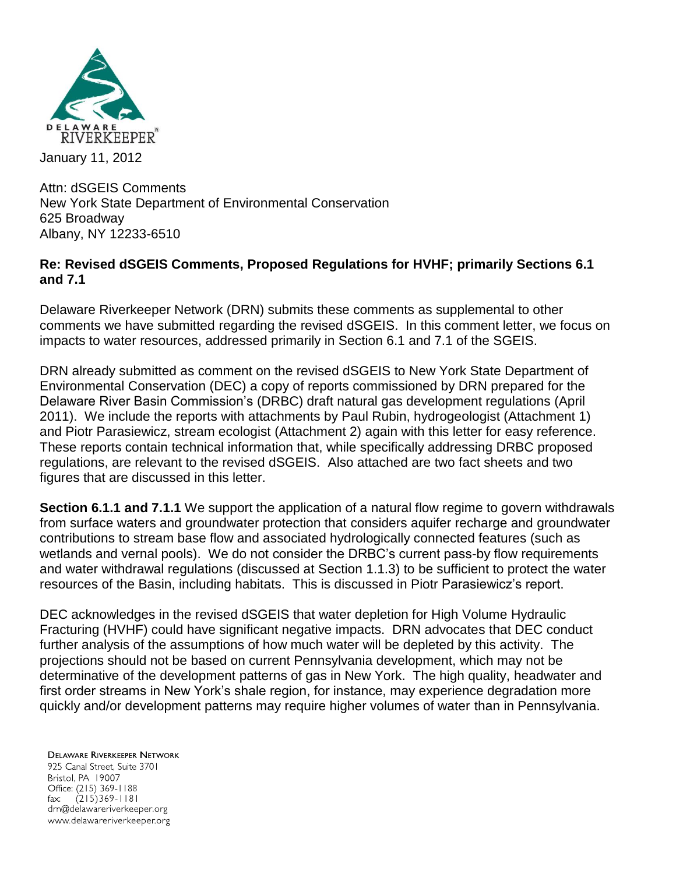

Attn: dSGEIS Comments New York State Department of Environmental Conservation 625 Broadway Albany, NY 12233-6510

## **Re: Revised dSGEIS Comments, Proposed Regulations for HVHF; primarily Sections 6.1 and 7.1**

Delaware Riverkeeper Network (DRN) submits these comments as supplemental to other comments we have submitted regarding the revised dSGEIS. In this comment letter, we focus on impacts to water resources, addressed primarily in Section 6.1 and 7.1 of the SGEIS.

DRN already submitted as comment on the revised dSGEIS to New York State Department of Environmental Conservation (DEC) a copy of reports commissioned by DRN prepared for the Delaware River Basin Commission's (DRBC) draft natural gas development regulations (April 2011). We include the reports with attachments by Paul Rubin, hydrogeologist (Attachment 1) and Piotr Parasiewicz, stream ecologist (Attachment 2) again with this letter for easy reference. These reports contain technical information that, while specifically addressing DRBC proposed regulations, are relevant to the revised dSGEIS. Also attached are two fact sheets and two figures that are discussed in this letter.

**Section 6.1.1 and 7.1.1** We support the application of a natural flow regime to govern withdrawals from surface waters and groundwater protection that considers aquifer recharge and groundwater contributions to stream base flow and associated hydrologically connected features (such as wetlands and vernal pools). We do not consider the DRBC's current pass-by flow requirements and water withdrawal regulations (discussed at Section 1.1.3) to be sufficient to protect the water resources of the Basin, including habitats. This is discussed in Piotr Parasiewicz's report.

DEC acknowledges in the revised dSGEIS that water depletion for High Volume Hydraulic Fracturing (HVHF) could have significant negative impacts. DRN advocates that DEC conduct further analysis of the assumptions of how much water will be depleted by this activity. The projections should not be based on current Pennsylvania development, which may not be determinative of the development patterns of gas in New York. The high quality, headwater and first order streams in New York's shale region, for instance, may experience degradation more quickly and/or development patterns may require higher volumes of water than in Pennsylvania.

**DELAWARE RIVERKEEPER NETWORK** 925 Canal Street, Suite 3701 Bristol, PA 19007 Office: (215) 369-1188 fax:  $(215)369 - 1181$ drn@delawareriverkeeper.org www.delawareriverkeeper.org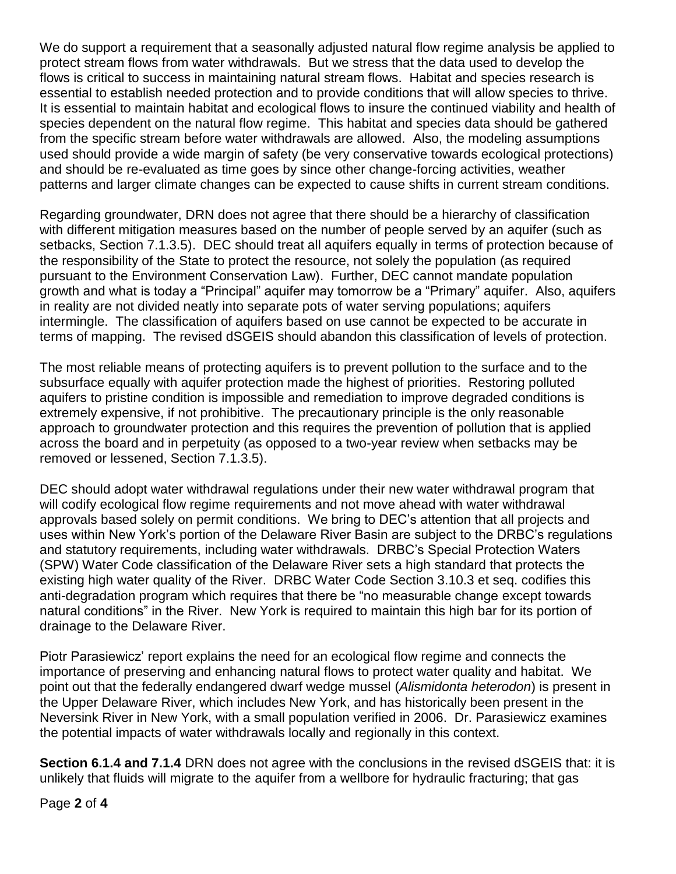We do support a requirement that a seasonally adjusted natural flow regime analysis be applied to protect stream flows from water withdrawals. But we stress that the data used to develop the flows is critical to success in maintaining natural stream flows. Habitat and species research is essential to establish needed protection and to provide conditions that will allow species to thrive. It is essential to maintain habitat and ecological flows to insure the continued viability and health of species dependent on the natural flow regime. This habitat and species data should be gathered from the specific stream before water withdrawals are allowed. Also, the modeling assumptions used should provide a wide margin of safety (be very conservative towards ecological protections) and should be re-evaluated as time goes by since other change-forcing activities, weather patterns and larger climate changes can be expected to cause shifts in current stream conditions.

Regarding groundwater, DRN does not agree that there should be a hierarchy of classification with different mitigation measures based on the number of people served by an aquifer (such as setbacks, Section 7.1.3.5). DEC should treat all aquifers equally in terms of protection because of the responsibility of the State to protect the resource, not solely the population (as required pursuant to the Environment Conservation Law). Further, DEC cannot mandate population growth and what is today a "Principal" aquifer may tomorrow be a "Primary" aquifer. Also, aquifers in reality are not divided neatly into separate pots of water serving populations; aquifers intermingle. The classification of aquifers based on use cannot be expected to be accurate in terms of mapping. The revised dSGEIS should abandon this classification of levels of protection.

The most reliable means of protecting aquifers is to prevent pollution to the surface and to the subsurface equally with aquifer protection made the highest of priorities. Restoring polluted aquifers to pristine condition is impossible and remediation to improve degraded conditions is extremely expensive, if not prohibitive. The precautionary principle is the only reasonable approach to groundwater protection and this requires the prevention of pollution that is applied across the board and in perpetuity (as opposed to a two-year review when setbacks may be removed or lessened, Section 7.1.3.5).

DEC should adopt water withdrawal regulations under their new water withdrawal program that will codify ecological flow regime requirements and not move ahead with water withdrawal approvals based solely on permit conditions. We bring to DEC's attention that all projects and uses within New York's portion of the Delaware River Basin are subject to the DRBC's regulations and statutory requirements, including water withdrawals. DRBC's Special Protection Waters (SPW) Water Code classification of the Delaware River sets a high standard that protects the existing high water quality of the River. DRBC Water Code Section 3.10.3 et seq. codifies this anti-degradation program which requires that there be "no measurable change except towards natural conditions" in the River. New York is required to maintain this high bar for its portion of drainage to the Delaware River.

Piotr Parasiewicz' report explains the need for an ecological flow regime and connects the importance of preserving and enhancing natural flows to protect water quality and habitat. We point out that the federally endangered dwarf wedge mussel (*Alismidonta heterodon*) is present in the Upper Delaware River, which includes New York, and has historically been present in the Neversink River in New York, with a small population verified in 2006. Dr. Parasiewicz examines the potential impacts of water withdrawals locally and regionally in this context.

**Section 6.1.4 and 7.1.4** DRN does not agree with the conclusions in the revised dSGEIS that: it is unlikely that fluids will migrate to the aquifer from a wellbore for hydraulic fracturing; that gas

Page **2** of **4**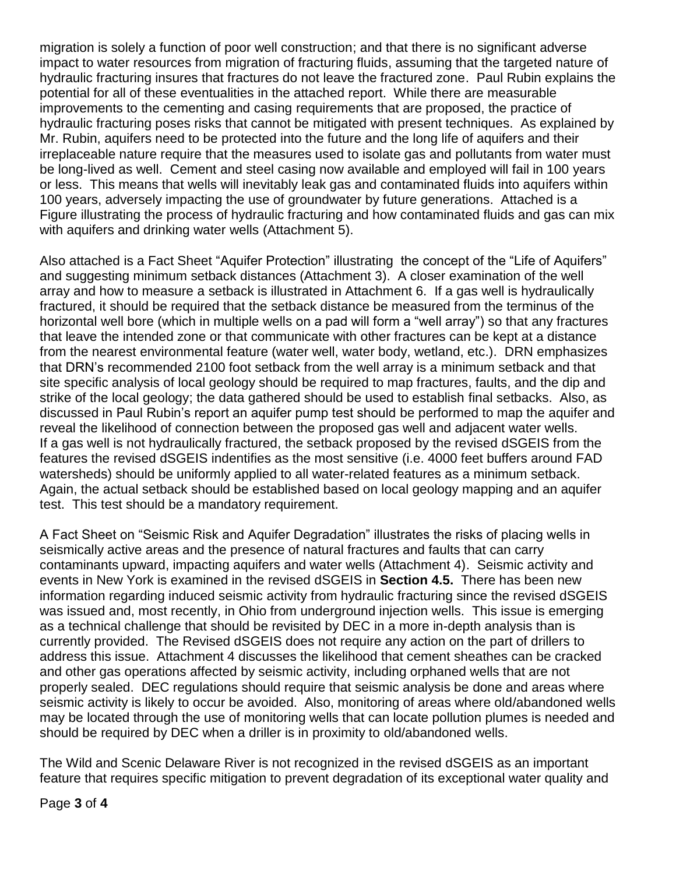migration is solely a function of poor well construction; and that there is no significant adverse impact to water resources from migration of fracturing fluids, assuming that the targeted nature of hydraulic fracturing insures that fractures do not leave the fractured zone. Paul Rubin explains the potential for all of these eventualities in the attached report. While there are measurable improvements to the cementing and casing requirements that are proposed, the practice of hydraulic fracturing poses risks that cannot be mitigated with present techniques. As explained by Mr. Rubin, aquifers need to be protected into the future and the long life of aquifers and their irreplaceable nature require that the measures used to isolate gas and pollutants from water must be long-lived as well. Cement and steel casing now available and employed will fail in 100 years or less. This means that wells will inevitably leak gas and contaminated fluids into aquifers within 100 years, adversely impacting the use of groundwater by future generations. Attached is a Figure illustrating the process of hydraulic fracturing and how contaminated fluids and gas can mix with aquifers and drinking water wells (Attachment 5).

Also attached is a Fact Sheet "Aquifer Protection" illustrating the concept of the "Life of Aquifers" and suggesting minimum setback distances (Attachment 3). A closer examination of the well array and how to measure a setback is illustrated in Attachment 6. If a gas well is hydraulically fractured, it should be required that the setback distance be measured from the terminus of the horizontal well bore (which in multiple wells on a pad will form a "well array") so that any fractures that leave the intended zone or that communicate with other fractures can be kept at a distance from the nearest environmental feature (water well, water body, wetland, etc.). DRN emphasizes that DRN's recommended 2100 foot setback from the well array is a minimum setback and that site specific analysis of local geology should be required to map fractures, faults, and the dip and strike of the local geology; the data gathered should be used to establish final setbacks. Also, as discussed in Paul Rubin's report an aquifer pump test should be performed to map the aquifer and reveal the likelihood of connection between the proposed gas well and adjacent water wells. If a gas well is not hydraulically fractured, the setback proposed by the revised dSGEIS from the features the revised dSGEIS indentifies as the most sensitive (i.e. 4000 feet buffers around FAD watersheds) should be uniformly applied to all water-related features as a minimum setback. Again, the actual setback should be established based on local geology mapping and an aquifer test. This test should be a mandatory requirement.

A Fact Sheet on "Seismic Risk and Aquifer Degradation" illustrates the risks of placing wells in seismically active areas and the presence of natural fractures and faults that can carry contaminants upward, impacting aquifers and water wells (Attachment 4). Seismic activity and events in New York is examined in the revised dSGEIS in **Section 4.5.** There has been new information regarding induced seismic activity from hydraulic fracturing since the revised dSGEIS was issued and, most recently, in Ohio from underground injection wells. This issue is emerging as a technical challenge that should be revisited by DEC in a more in-depth analysis than is currently provided. The Revised dSGEIS does not require any action on the part of drillers to address this issue. Attachment 4 discusses the likelihood that cement sheathes can be cracked and other gas operations affected by seismic activity, including orphaned wells that are not properly sealed. DEC regulations should require that seismic analysis be done and areas where seismic activity is likely to occur be avoided. Also, monitoring of areas where old/abandoned wells may be located through the use of monitoring wells that can locate pollution plumes is needed and should be required by DEC when a driller is in proximity to old/abandoned wells.

The Wild and Scenic Delaware River is not recognized in the revised dSGEIS as an important feature that requires specific mitigation to prevent degradation of its exceptional water quality and